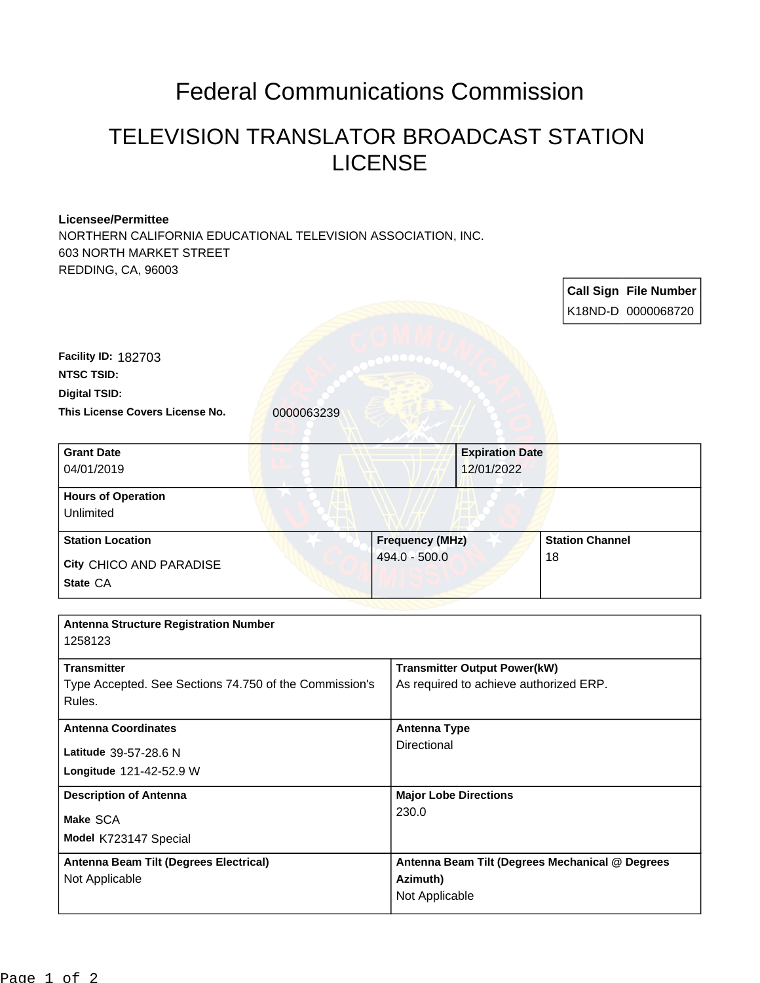## Federal Communications Commission

## TELEVISION TRANSLATOR BROADCAST STATION LICENSE

## **Licensee/Permittee**

NORTHERN CALIFORNIA EDUCATIONAL TELEVISION ASSOCIATION, INC. 603 NORTH MARKET STREET REDDING, CA, 96003

|                                                                                                                          |                     |                                                 |  | <b>Call Sign File Number</b> |  |
|--------------------------------------------------------------------------------------------------------------------------|---------------------|-------------------------------------------------|--|------------------------------|--|
|                                                                                                                          |                     |                                                 |  | K18ND-D 0000068720           |  |
| <b>Facility ID: 182703</b><br><b>NTSC TSID:</b><br><b>Digital TSID:</b><br>This License Covers License No.<br>0000063239 |                     |                                                 |  |                              |  |
| <b>Grant Date</b><br>04/01/2019                                                                                          |                     | <b>Expiration Date</b><br>12/01/2022            |  |                              |  |
| <b>Hours of Operation</b><br><b>Unlimited</b>                                                                            |                     |                                                 |  |                              |  |
| <b>Station Location</b>                                                                                                  |                     | <b>Frequency (MHz)</b>                          |  | <b>Station Channel</b>       |  |
| City CHICO AND PARADISE                                                                                                  | 494.0 - 500.0<br>18 |                                                 |  |                              |  |
| State CA                                                                                                                 |                     |                                                 |  |                              |  |
|                                                                                                                          |                     |                                                 |  |                              |  |
| <b>Antenna Structure Registration Number</b><br>1258123                                                                  |                     |                                                 |  |                              |  |
| <b>Transmitter</b>                                                                                                       |                     | <b>Transmitter Output Power(kW)</b>             |  |                              |  |
| Type Accepted. See Sections 74.750 of the Commission's<br>Rules.                                                         |                     | As required to achieve authorized ERP.          |  |                              |  |
| <b>Antenna Coordinates</b>                                                                                               | <b>Antenna Type</b> |                                                 |  |                              |  |
| Latitude 39-57-28.6 N                                                                                                    | Directional         |                                                 |  |                              |  |
| Longitude 121-42-52.9 W                                                                                                  |                     |                                                 |  |                              |  |
| <b>Description of Antenna</b>                                                                                            |                     | <b>Major Lobe Directions</b>                    |  |                              |  |
| Make SCA                                                                                                                 |                     | 230.0                                           |  |                              |  |
| Model K723147 Special                                                                                                    |                     |                                                 |  |                              |  |
| Antenna Beam Tilt (Degrees Electrical)                                                                                   |                     | Antenna Beam Tilt (Degrees Mechanical @ Degrees |  |                              |  |
| Not Applicable                                                                                                           |                     | Azimuth)<br>Not Applicable                      |  |                              |  |
|                                                                                                                          |                     |                                                 |  |                              |  |